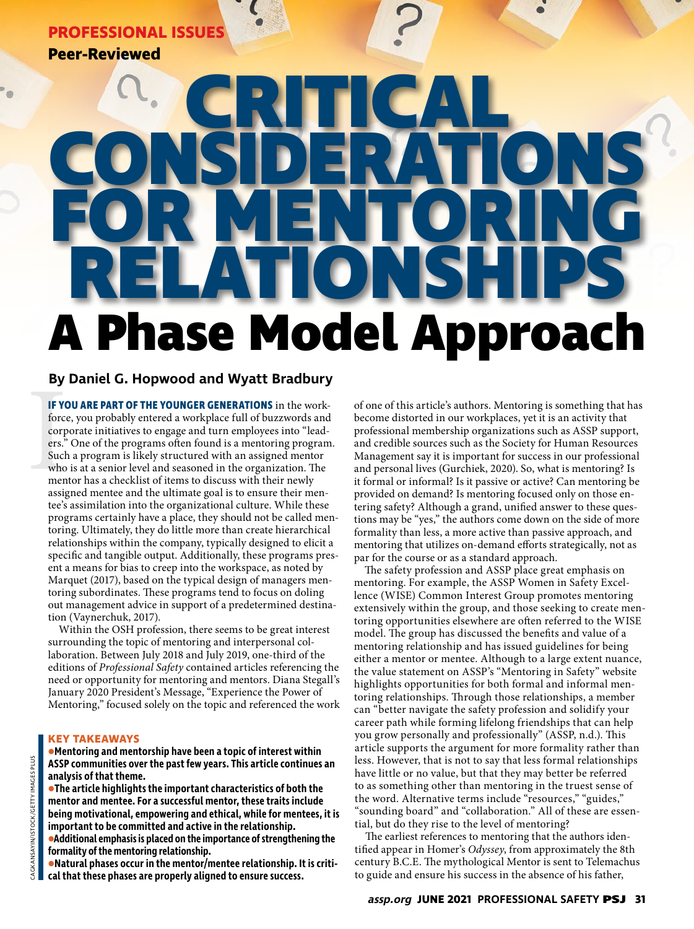# **PROFESSIONAL ISSUES**

**Peer-Reviewed**

# **A Phase Model Approach CRITICAL CONSIDERATIONS FOR MENTORING RELATIONSHIPS**

## **By Daniel G. Hopwood and Wyatt Bradbury**

**IF YC**<br>force<br>corp<br>ers."<br>Such<br>who<br>men<br>assig **IF YOU ARE PART OF THE YOUNGER GENERATIONS** in the workforce, you probably entered a workplace full of buzzwords and corporate initiatives to engage and turn employees into "leaders." One of the programs often found is a mentoring program. Such a program is likely structured with an assigned mentor who is at a senior level and seasoned in the organization. The mentor has a checklist of items to discuss with their newly assigned mentee and the ultimate goal is to ensure their mentee's assimilation into the organizational culture. While these programs certainly have a place, they should not be called mentoring. Ultimately, they do little more than create hierarchical relationships within the company, typically designed to elicit a specific and tangible output. Additionally, these programs present a means for bias to creep into the workspace, as noted by Marquet (2017), based on the typical design of managers mentoring subordinates. These programs tend to focus on doling out management advice in support of a predetermined destination (Vaynerchuk, 2017).

Within the OSH profession, there seems to be great interest surrounding the topic of mentoring and interpersonal collaboration. Between July 2018 and July 2019, one-third of the editions of *Professional Safety* contained articles referencing the need or opportunity for mentoring and mentors. Diana Stegall's January 2020 President's Message, "Experience the Power of Mentoring," focused solely on the topic and referenced the work

#### **KEY TAKEAWAYS**

#### **•Mentoring and mentorship have been a topic of interest within ASSP communities over the past few years. This article continues an analysis of that theme.**

**•The article highlights the important characteristics of both the mentor and mentee. For a successful mentor, these traits include being motivational, empowering and ethical, while for mentees, it is important to be committed and active in the relationship. •Additional emphasis is placed on the importance of strengthening the** 

**formality of the mentoring relationship. •Natural phases occur in the mentor/mentee relationship. It is criti-**

**cal that these phases are properly aligned to ensure success.**

of one of this article's authors. Mentoring is something that has become distorted in our workplaces, yet it is an activity that professional membership organizations such as ASSP support, and credible sources such as the Society for Human Resources Management say it is important for success in our professional and personal lives (Gurchiek, 2020). So, what is mentoring? Is it formal or informal? Is it passive or active? Can mentoring be provided on demand? Is mentoring focused only on those entering safety? Although a grand, unified answer to these questions may be "yes," the authors come down on the side of more formality than less, a more active than passive approach, and mentoring that utilizes on-demand efforts strategically, not as par for the course or as a standard approach.

The safety profession and ASSP place great emphasis on mentoring. For example, the ASSP Women in Safety Excellence (WISE) Common Interest Group promotes mentoring extensively within the group, and those seeking to create mentoring opportunities elsewhere are often referred to the WISE model. The group has discussed the benefits and value of a mentoring relationship and has issued guidelines for being either a mentor or mentee. Although to a large extent nuance, the value statement on ASSP's "Mentoring in Safety" website highlights opportunities for both formal and informal mentoring relationships. Through those relationships, a member can "better navigate the safety profession and solidify your career path while forming lifelong friendships that can help you grow personally and professionally" (ASSP, n.d.). This article supports the argument for more formality rather than less. However, that is not to say that less formal relationships have little or no value, but that they may better be referred to as something other than mentoring in the truest sense of the word. Alternative terms include "resources," "guides," "sounding board" and "collaboration." All of these are essential, but do they rise to the level of mentoring?

The earliest references to mentoring that the authors identified appear in Homer's *Odyssey*, from approximately the 8th century B.C.E. The mythological Mentor is sent to Telemachus to guide and ensure his success in the absence of his father,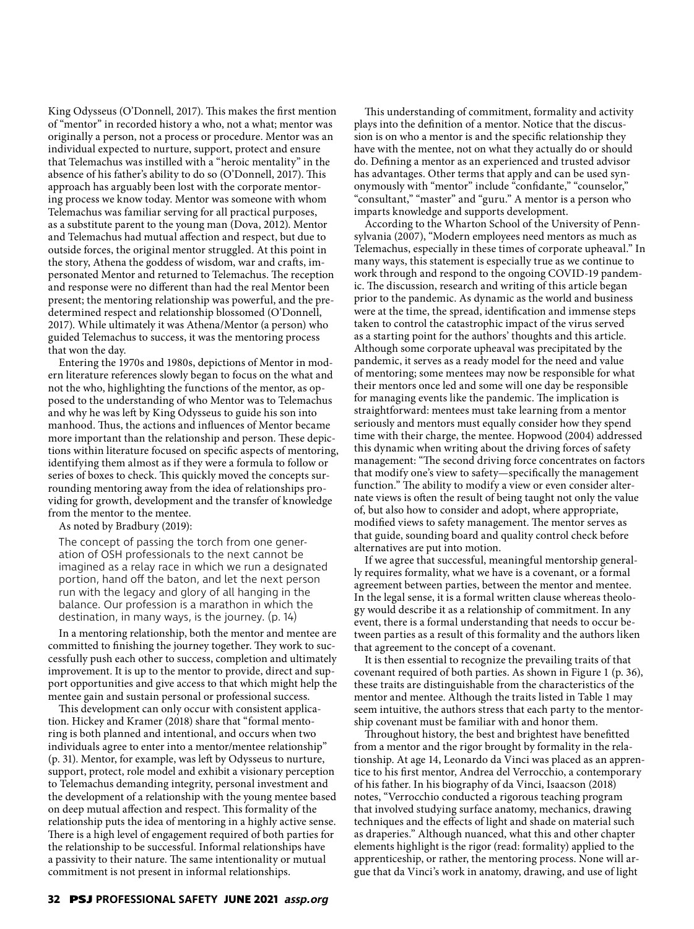King Odysseus (O'Donnell, 2017). This makes the first mention of "mentor" in recorded history a who, not a what; mentor was originally a person, not a process or procedure. Mentor was an individual expected to nurture, support, protect and ensure that Telemachus was instilled with a "heroic mentality" in the absence of his father's ability to do so (O'Donnell, 2017). This approach has arguably been lost with the corporate mentoring process we know today. Mentor was someone with whom Telemachus was familiar serving for all practical purposes, as a substitute parent to the young man (Dova, 2012). Mentor and Telemachus had mutual affection and respect, but due to outside forces, the original mentor struggled. At this point in the story, Athena the goddess of wisdom, war and crafts, impersonated Mentor and returned to Telemachus. The reception and response were no different than had the real Mentor been present; the mentoring relationship was powerful, and the predetermined respect and relationship blossomed (O'Donnell, 2017). While ultimately it was Athena/Mentor (a person) who guided Telemachus to success, it was the mentoring process that won the day.

Entering the 1970s and 1980s, depictions of Mentor in modern literature references slowly began to focus on the what and not the who, highlighting the functions of the mentor, as opposed to the understanding of who Mentor was to Telemachus and why he was left by King Odysseus to guide his son into manhood. Thus, the actions and influences of Mentor became more important than the relationship and person. These depictions within literature focused on specific aspects of mentoring, identifying them almost as if they were a formula to follow or series of boxes to check. This quickly moved the concepts surrounding mentoring away from the idea of relationships providing for growth, development and the transfer of knowledge from the mentor to the mentee.

As noted by Bradbury (2019):

The concept of passing the torch from one generation of OSH professionals to the next cannot be imagined as a relay race in which we run a designated portion, hand off the baton, and let the next person run with the legacy and glory of all hanging in the balance. Our profession is a marathon in which the destination, in many ways, is the journey. (p. 14)

In a mentoring relationship, both the mentor and mentee are committed to finishing the journey together. They work to successfully push each other to success, completion and ultimately improvement. It is up to the mentor to provide, direct and support opportunities and give access to that which might help the mentee gain and sustain personal or professional success.

This development can only occur with consistent application. Hickey and Kramer (2018) share that "formal mentoring is both planned and intentional, and occurs when two individuals agree to enter into a mentor/mentee relationship" (p. 31). Mentor, for example, was left by Odysseus to nurture, support, protect, role model and exhibit a visionary perception to Telemachus demanding integrity, personal investment and the development of a relationship with the young mentee based on deep mutual affection and respect. This formality of the relationship puts the idea of mentoring in a highly active sense. There is a high level of engagement required of both parties for the relationship to be successful. Informal relationships have a passivity to their nature. The same intentionality or mutual commitment is not present in informal relationships.

This understanding of commitment, formality and activity plays into the definition of a mentor. Notice that the discussion is on who a mentor is and the specific relationship they have with the mentee, not on what they actually do or should do. Defining a mentor as an experienced and trusted advisor has advantages. Other terms that apply and can be used synonymously with "mentor" include "confidante," "counselor," "consultant," "master" and "guru." A mentor is a person who imparts knowledge and supports development.

According to the Wharton School of the University of Pennsylvania (2007), "Modern employees need mentors as much as Telemachus, especially in these times of corporate upheaval." In many ways, this statement is especially true as we continue to work through and respond to the ongoing COVID-19 pandemic. The discussion, research and writing of this article began prior to the pandemic. As dynamic as the world and business were at the time, the spread, identification and immense steps taken to control the catastrophic impact of the virus served as a starting point for the authors' thoughts and this article. Although some corporate upheaval was precipitated by the pandemic, it serves as a ready model for the need and value of mentoring; some mentees may now be responsible for what their mentors once led and some will one day be responsible for managing events like the pandemic. The implication is straightforward: mentees must take learning from a mentor seriously and mentors must equally consider how they spend time with their charge, the mentee. Hopwood (2004) addressed this dynamic when writing about the driving forces of safety management: "The second driving force concentrates on factors that modify one's view to safety—specifically the management function." The ability to modify a view or even consider alternate views is often the result of being taught not only the value of, but also how to consider and adopt, where appropriate, modified views to safety management. The mentor serves as that guide, sounding board and quality control check before alternatives are put into motion.

If we agree that successful, meaningful mentorship generally requires formality, what we have is a covenant, or a formal agreement between parties, between the mentor and mentee. In the legal sense, it is a formal written clause whereas theology would describe it as a relationship of commitment. In any event, there is a formal understanding that needs to occur between parties as a result of this formality and the authors liken that agreement to the concept of a covenant.

It is then essential to recognize the prevailing traits of that covenant required of both parties. As shown in Figure 1 (p. 36), these traits are distinguishable from the characteristics of the mentor and mentee. Although the traits listed in Table 1 may seem intuitive, the authors stress that each party to the mentorship covenant must be familiar with and honor them.

Throughout history, the best and brightest have benefitted from a mentor and the rigor brought by formality in the relationship. At age 14, Leonardo da Vinci was placed as an apprentice to his first mentor, Andrea del Verrocchio, a contemporary of his father. In his biography of da Vinci, Isaacson (2018) notes, "Verrocchio conducted a rigorous teaching program that involved studying surface anatomy, mechanics, drawing techniques and the effects of light and shade on material such as draperies." Although nuanced, what this and other chapter elements highlight is the rigor (read: formality) applied to the apprenticeship, or rather, the mentoring process. None will argue that da Vinci's work in anatomy, drawing, and use of light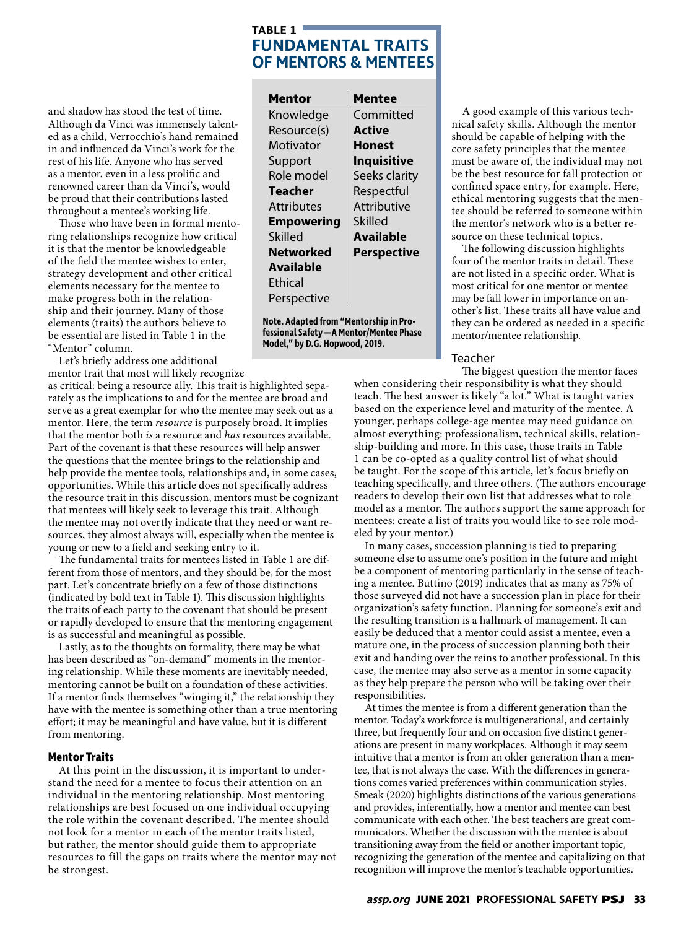### **TABLE 1 FUNDAMENTAL TRAITS OF MENTORS & MENTEES**

and shadow has stood the test of time. Although da Vinci was immensely talented as a child, Verrocchio's hand remained in and influenced da Vinci's work for the rest of his life. Anyone who has served as a mentor, even in a less prolific and renowned career than da Vinci's, would be proud that their contributions lasted throughout a mentee's working life.

Those who have been in formal mentoring relationships recognize how critical it is that the mentor be knowledgeable of the field the mentee wishes to enter, strategy development and other critical elements necessary for the mentee to make progress both in the relationship and their journey. Many of those elements (traits) the authors believe to be essential are listed in Table 1 in the "Mentor" column.

Let's briefly address one additional mentor trait that most will likely recognize

as critical: being a resource ally. This trait is highlighted separately as the implications to and for the mentee are broad and serve as a great exemplar for who the mentee may seek out as a mentor. Here, the term *resource* is purposely broad. It implies that the mentor both *is* a resource and *has* resources available. Part of the covenant is that these resources will help answer the questions that the mentee brings to the relationship and help provide the mentee tools, relationships and, in some cases, opportunities. While this article does not specifically address the resource trait in this discussion, mentors must be cognizant that mentees will likely seek to leverage this trait. Although the mentee may not overtly indicate that they need or want resources, they almost always will, especially when the mentee is young or new to a field and seeking entry to it.

The fundamental traits for mentees listed in Table 1 are different from those of mentors, and they should be, for the most part. Let's concentrate briefly on a few of those distinctions (indicated by bold text in Table 1). This discussion highlights the traits of each party to the covenant that should be present or rapidly developed to ensure that the mentoring engagement is as successful and meaningful as possible.

Lastly, as to the thoughts on formality, there may be what has been described as "on-demand" moments in the mentoring relationship. While these moments are inevitably needed, mentoring cannot be built on a foundation of these activities. If a mentor finds themselves "winging it," the relationship they have with the mentee is something other than a true mentoring effort; it may be meaningful and have value, but it is different from mentoring.

#### **Mentor Traits**

At this point in the discussion, it is important to understand the need for a mentee to focus their attention on an individual in the mentoring relationship. Most mentoring relationships are best focused on one individual occupying the role within the covenant described. The mentee should not look for a mentor in each of the mentor traits listed, but rather, the mentor should guide them to appropriate resources to fill the gaps on traits where the mentor may not be strongest.

| Mentor            | Mentee             |
|-------------------|--------------------|
| Knowledge         | Committed          |
| Resource(s)       | Active             |
| Motivator         | Honest             |
| Support           | <b>Inquisitive</b> |
| Role model        | Seeks clarity      |
| <b>Teacher</b>    | Respectful         |
| <b>Attributes</b> | Attributive        |
| <b>Empowering</b> | Skilled            |
| Skilled           | Available          |
| <b>Networked</b>  | <b>Perspective</b> |
| <b>Available</b>  |                    |
| Ethical           |                    |
| Perspective       |                    |

**Note. Adapted from "Mentorship in Professional Safety—A Mentor/Mentee Phase Model," by D.G. Hopwood, 2019.**

A good example of this various technical safety skills. Although the mentor should be capable of helping with the core safety principles that the mentee must be aware of, the individual may not be the best resource for fall protection or confined space entry, for example. Here, ethical mentoring suggests that the mentee should be referred to someone within the mentor's network who is a better resource on these technical topics.

The following discussion highlights four of the mentor traits in detail. These are not listed in a specific order. What is most critical for one mentor or mentee may be fall lower in importance on another's list. These traits all have value and they can be ordered as needed in a specific mentor/mentee relationship.

#### Teacher

The biggest question the mentor faces when considering their responsibility is what they should teach. The best answer is likely "a lot." What is taught varies based on the experience level and maturity of the mentee. A younger, perhaps college-age mentee may need guidance on almost everything: professionalism, technical skills, relationship-building and more. In this case, those traits in Table 1 can be co-opted as a quality control list of what should be taught. For the scope of this article, let's focus briefly on teaching specifically, and three others. (The authors encourage readers to develop their own list that addresses what to role model as a mentor. The authors support the same approach for mentees: create a list of traits you would like to see role modeled by your mentor.)

In many cases, succession planning is tied to preparing someone else to assume one's position in the future and might be a component of mentoring particularly in the sense of teaching a mentee. Buttino (2019) indicates that as many as 75% of those surveyed did not have a succession plan in place for their organization's safety function. Planning for someone's exit and the resulting transition is a hallmark of management. It can easily be deduced that a mentor could assist a mentee, even a mature one, in the process of succession planning both their exit and handing over the reins to another professional. In this case, the mentee may also serve as a mentor in some capacity as they help prepare the person who will be taking over their responsibilities.

At times the mentee is from a different generation than the mentor. Today's workforce is multigenerational, and certainly three, but frequently four and on occasion five distinct generations are present in many workplaces. Although it may seem intuitive that a mentor is from an older generation than a mentee, that is not always the case. With the differences in generations comes varied preferences within communication styles. Smeak (2020) highlights distinctions of the various generations and provides, inferentially, how a mentor and mentee can best communicate with each other. The best teachers are great communicators. Whether the discussion with the mentee is about transitioning away from the field or another important topic, recognizing the generation of the mentee and capitalizing on that recognition will improve the mentor's teachable opportunities.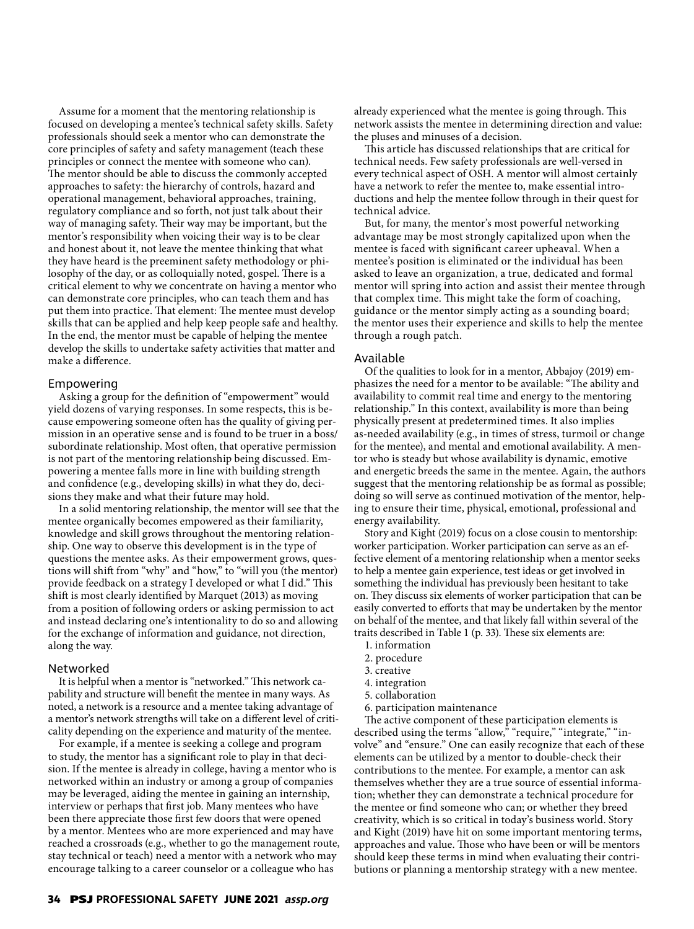Assume for a moment that the mentoring relationship is focused on developing a mentee's technical safety skills. Safety professionals should seek a mentor who can demonstrate the core principles of safety and safety management (teach these principles or connect the mentee with someone who can). The mentor should be able to discuss the commonly accepted approaches to safety: the hierarchy of controls, hazard and operational management, behavioral approaches, training, regulatory compliance and so forth, not just talk about their way of managing safety. Their way may be important, but the mentor's responsibility when voicing their way is to be clear and honest about it, not leave the mentee thinking that what they have heard is the preeminent safety methodology or philosophy of the day, or as colloquially noted, gospel. There is a critical element to why we concentrate on having a mentor who can demonstrate core principles, who can teach them and has put them into practice. That element: The mentee must develop skills that can be applied and help keep people safe and healthy. In the end, the mentor must be capable of helping the mentee develop the skills to undertake safety activities that matter and make a difference.

#### Empowering

Asking a group for the definition of "empowerment" would yield dozens of varying responses. In some respects, this is because empowering someone often has the quality of giving permission in an operative sense and is found to be truer in a boss/ subordinate relationship. Most often, that operative permission is not part of the mentoring relationship being discussed. Empowering a mentee falls more in line with building strength and confidence (e.g., developing skills) in what they do, decisions they make and what their future may hold.

In a solid mentoring relationship, the mentor will see that the mentee organically becomes empowered as their familiarity, knowledge and skill grows throughout the mentoring relationship. One way to observe this development is in the type of questions the mentee asks. As their empowerment grows, questions will shift from "why" and "how," to "will you (the mentor) provide feedback on a strategy I developed or what I did." This shift is most clearly identified by Marquet (2013) as moving from a position of following orders or asking permission to act and instead declaring one's intentionality to do so and allowing for the exchange of information and guidance, not direction, along the way.

#### Networked

It is helpful when a mentor is "networked." This network capability and structure will benefit the mentee in many ways. As noted, a network is a resource and a mentee taking advantage of a mentor's network strengths will take on a different level of criticality depending on the experience and maturity of the mentee.

For example, if a mentee is seeking a college and program to study, the mentor has a significant role to play in that decision. If the mentee is already in college, having a mentor who is networked within an industry or among a group of companies may be leveraged, aiding the mentee in gaining an internship, interview or perhaps that first job. Many mentees who have been there appreciate those first few doors that were opened by a mentor. Mentees who are more experienced and may have reached a crossroads (e.g., whether to go the management route, stay technical or teach) need a mentor with a network who may encourage talking to a career counselor or a colleague who has

already experienced what the mentee is going through. This network assists the mentee in determining direction and value: the pluses and minuses of a decision.

This article has discussed relationships that are critical for technical needs. Few safety professionals are well-versed in every technical aspect of OSH. A mentor will almost certainly have a network to refer the mentee to, make essential introductions and help the mentee follow through in their quest for technical advice.

But, for many, the mentor's most powerful networking advantage may be most strongly capitalized upon when the mentee is faced with significant career upheaval. When a mentee's position is eliminated or the individual has been asked to leave an organization, a true, dedicated and formal mentor will spring into action and assist their mentee through that complex time. This might take the form of coaching, guidance or the mentor simply acting as a sounding board; the mentor uses their experience and skills to help the mentee through a rough patch.

#### Available

Of the qualities to look for in a mentor, Abbajoy (2019) emphasizes the need for a mentor to be available: "The ability and availability to commit real time and energy to the mentoring relationship." In this context, availability is more than being physically present at predetermined times. It also implies as-needed availability (e.g., in times of stress, turmoil or change for the mentee), and mental and emotional availability. A mentor who is steady but whose availability is dynamic, emotive and energetic breeds the same in the mentee. Again, the authors suggest that the mentoring relationship be as formal as possible; doing so will serve as continued motivation of the mentor, helping to ensure their time, physical, emotional, professional and energy availability.

Story and Kight (2019) focus on a close cousin to mentorship: worker participation. Worker participation can serve as an effective element of a mentoring relationship when a mentor seeks to help a mentee gain experience, test ideas or get involved in something the individual has previously been hesitant to take on. They discuss six elements of worker participation that can be easily converted to efforts that may be undertaken by the mentor on behalf of the mentee, and that likely fall within several of the traits described in Table 1 (p. 33). These six elements are:

- 1. information
- 2. procedure
- 3. creative
- 4. integration
- 5. collaboration
- 6. participation maintenance

The active component of these participation elements is described using the terms "allow," "require," "integrate," "involve" and "ensure." One can easily recognize that each of these elements can be utilized by a mentor to double-check their contributions to the mentee. For example, a mentor can ask themselves whether they are a true source of essential information; whether they can demonstrate a technical procedure for the mentee or find someone who can; or whether they breed creativity, which is so critical in today's business world. Story and Kight (2019) have hit on some important mentoring terms, approaches and value. Those who have been or will be mentors should keep these terms in mind when evaluating their contributions or planning a mentorship strategy with a new mentee.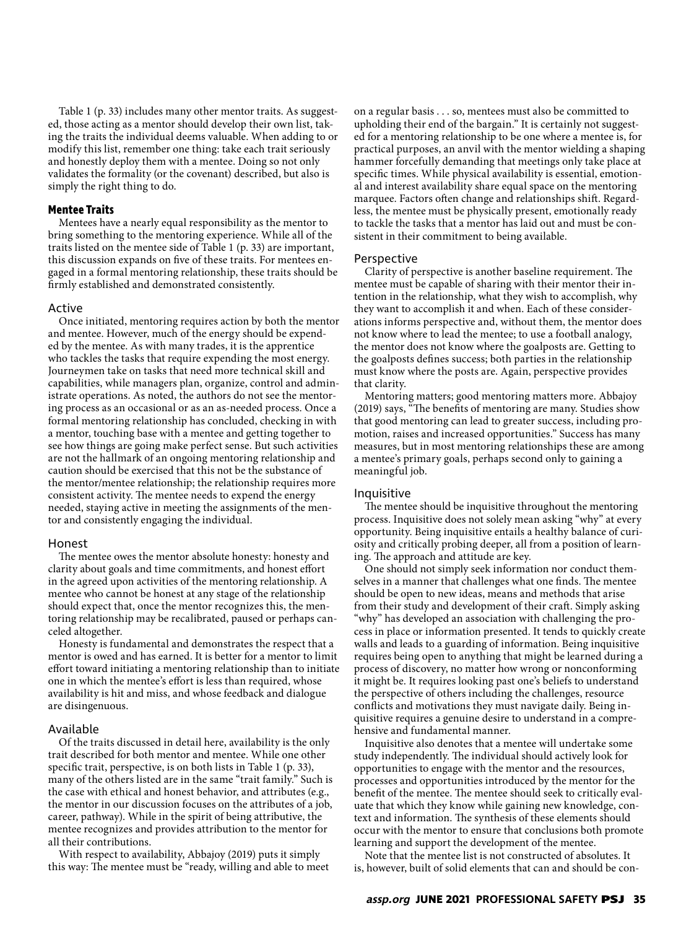Table 1 (p. 33) includes many other mentor traits. As suggested, those acting as a mentor should develop their own list, taking the traits the individual deems valuable. When adding to or modify this list, remember one thing: take each trait seriously and honestly deploy them with a mentee. Doing so not only validates the formality (or the covenant) described, but also is simply the right thing to do.

#### **Mentee Traits**

Mentees have a nearly equal responsibility as the mentor to bring something to the mentoring experience. While all of the traits listed on the mentee side of Table 1 (p. 33) are important, this discussion expands on five of these traits. For mentees engaged in a formal mentoring relationship, these traits should be firmly established and demonstrated consistently.

#### Active

Once initiated, mentoring requires action by both the mentor and mentee. However, much of the energy should be expended by the mentee. As with many trades, it is the apprentice who tackles the tasks that require expending the most energy. Journeymen take on tasks that need more technical skill and capabilities, while managers plan, organize, control and administrate operations. As noted, the authors do not see the mentoring process as an occasional or as an as-needed process. Once a formal mentoring relationship has concluded, checking in with a mentor, touching base with a mentee and getting together to see how things are going make perfect sense. But such activities are not the hallmark of an ongoing mentoring relationship and caution should be exercised that this not be the substance of the mentor/mentee relationship; the relationship requires more consistent activity. The mentee needs to expend the energy needed, staying active in meeting the assignments of the mentor and consistently engaging the individual.

#### Honest

The mentee owes the mentor absolute honesty: honesty and clarity about goals and time commitments, and honest effort in the agreed upon activities of the mentoring relationship. A mentee who cannot be honest at any stage of the relationship should expect that, once the mentor recognizes this, the mentoring relationship may be recalibrated, paused or perhaps canceled altogether.

Honesty is fundamental and demonstrates the respect that a mentor is owed and has earned. It is better for a mentor to limit effort toward initiating a mentoring relationship than to initiate one in which the mentee's effort is less than required, whose availability is hit and miss, and whose feedback and dialogue are disingenuous.

#### Available

Of the traits discussed in detail here, availability is the only trait described for both mentor and mentee. While one other specific trait, perspective, is on both lists in Table 1 (p. 33), many of the others listed are in the same "trait family." Such is the case with ethical and honest behavior, and attributes (e.g., the mentor in our discussion focuses on the attributes of a job, career, pathway). While in the spirit of being attributive, the mentee recognizes and provides attribution to the mentor for all their contributions.

With respect to availability, Abbajoy (2019) puts it simply this way: The mentee must be "ready, willing and able to meet on a regular basis . . . so, mentees must also be committed to upholding their end of the bargain." It is certainly not suggested for a mentoring relationship to be one where a mentee is, for practical purposes, an anvil with the mentor wielding a shaping hammer forcefully demanding that meetings only take place at specific times. While physical availability is essential, emotional and interest availability share equal space on the mentoring marquee. Factors often change and relationships shift. Regardless, the mentee must be physically present, emotionally ready to tackle the tasks that a mentor has laid out and must be consistent in their commitment to being available.

#### Perspective

Clarity of perspective is another baseline requirement. The mentee must be capable of sharing with their mentor their intention in the relationship, what they wish to accomplish, why they want to accomplish it and when. Each of these considerations informs perspective and, without them, the mentor does not know where to lead the mentee; to use a football analogy, the mentor does not know where the goalposts are. Getting to the goalposts defines success; both parties in the relationship must know where the posts are. Again, perspective provides that clarity.

Mentoring matters; good mentoring matters more. Abbajoy (2019) says, "The benefits of mentoring are many. Studies show that good mentoring can lead to greater success, including promotion, raises and increased opportunities." Success has many measures, but in most mentoring relationships these are among a mentee's primary goals, perhaps second only to gaining a meaningful job.

#### Inquisitive

The mentee should be inquisitive throughout the mentoring process. Inquisitive does not solely mean asking "why" at every opportunity. Being inquisitive entails a healthy balance of curiosity and critically probing deeper, all from a position of learning. The approach and attitude are key.

One should not simply seek information nor conduct themselves in a manner that challenges what one finds. The mentee should be open to new ideas, means and methods that arise from their study and development of their craft. Simply asking "why" has developed an association with challenging the process in place or information presented. It tends to quickly create walls and leads to a guarding of information. Being inquisitive requires being open to anything that might be learned during a process of discovery, no matter how wrong or nonconforming it might be. It requires looking past one's beliefs to understand the perspective of others including the challenges, resource conflicts and motivations they must navigate daily. Being inquisitive requires a genuine desire to understand in a comprehensive and fundamental manner.

Inquisitive also denotes that a mentee will undertake some study independently. The individual should actively look for opportunities to engage with the mentor and the resources, processes and opportunities introduced by the mentor for the benefit of the mentee. The mentee should seek to critically evaluate that which they know while gaining new knowledge, context and information. The synthesis of these elements should occur with the mentor to ensure that conclusions both promote learning and support the development of the mentee.

Note that the mentee list is not constructed of absolutes. It is, however, built of solid elements that can and should be con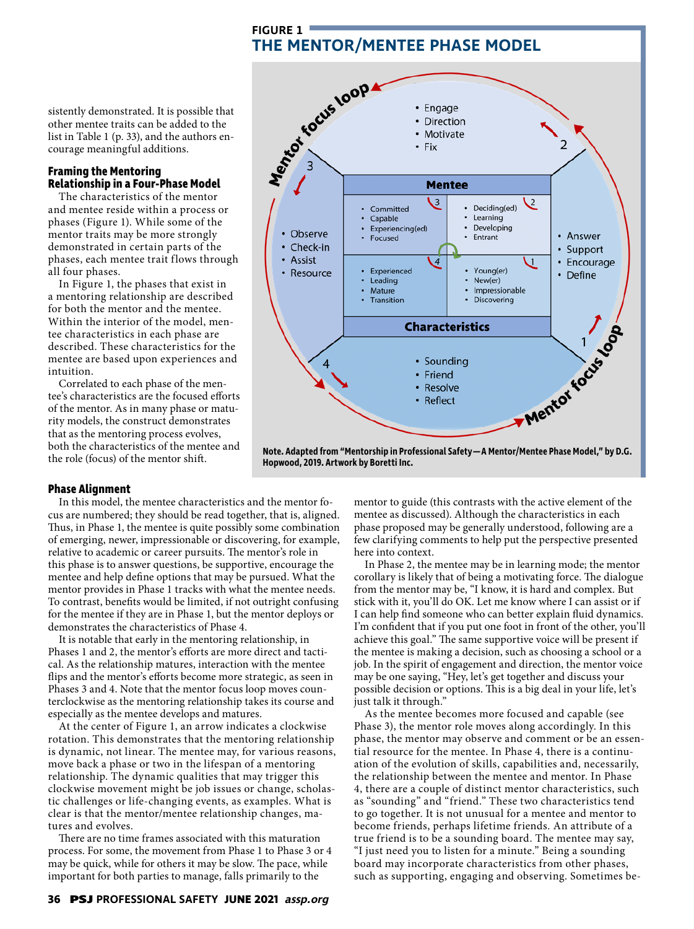**FIGURE 1**

sistently demonstrated. It is possible that other mentee traits can be added to the list in Table 1 (p. 33), and the authors encourage meaningful additions.

#### **Framing the Mentoring Relationship in a Four-Phase Model**

The characteristics of the mentor and mentee reside within a process or phases (Figure 1). While some of the mentor traits may be more strongly demonstrated in certain parts of the phases, each mentee trait flows through all four phases.

In Figure 1, the phases that exist in a mentoring relationship are described for both the mentor and the mentee. Within the interior of the model, mentee characteristics in each phase are described. These characteristics for the mentee are based upon experiences and intuition.

Correlated to each phase of the mentee's characteristics are the focused efforts of the mentor. As in many phase or maturity models, the construct demonstrates that as the mentoring process evolves, both the characteristics of the mentee and the role (focus) of the mentor shift.



**Hopwood, 2019. Artwork by Boretti Inc.**

#### **Phase Alignment**

In this model, the mentee characteristics and the mentor focus are numbered; they should be read together, that is, aligned. Thus, in Phase 1, the mentee is quite possibly some combination of emerging, newer, impressionable or discovering, for example, relative to academic or career pursuits. The mentor's role in this phase is to answer questions, be supportive, encourage the mentee and help define options that may be pursued. What the mentor provides in Phase 1 tracks with what the mentee needs. To contrast, benefits would be limited, if not outright confusing for the mentee if they are in Phase 1, but the mentor deploys or demonstrates the characteristics of Phase 4.

It is notable that early in the mentoring relationship, in Phases 1 and 2, the mentor's efforts are more direct and tactical. As the relationship matures, interaction with the mentee flips and the mentor's efforts become more strategic, as seen in Phases 3 and 4. Note that the mentor focus loop moves counterclockwise as the mentoring relationship takes its course and especially as the mentee develops and matures.

At the center of Figure 1, an arrow indicates a clockwise rotation. This demonstrates that the mentoring relationship is dynamic, not linear. The mentee may, for various reasons, move back a phase or two in the lifespan of a mentoring relationship. The dynamic qualities that may trigger this clockwise movement might be job issues or change, scholastic challenges or life-changing events, as examples. What is clear is that the mentor/mentee relationship changes, matures and evolves.

There are no time frames associated with this maturation process. For some, the movement from Phase 1 to Phase 3 or 4 may be quick, while for others it may be slow. The pace, while important for both parties to manage, falls primarily to the

mentor to guide (this contrasts with the active element of the mentee as discussed). Although the characteristics in each phase proposed may be generally understood, following are a few clarifying comments to help put the perspective presented here into context.

In Phase 2, the mentee may be in learning mode; the mentor corollary is likely that of being a motivating force. The dialogue from the mentor may be, "I know, it is hard and complex. But stick with it, you'll do OK. Let me know where I can assist or if I can help find someone who can better explain fluid dynamics. I'm confident that if you put one foot in front of the other, you'll achieve this goal." The same supportive voice will be present if the mentee is making a decision, such as choosing a school or a job. In the spirit of engagement and direction, the mentor voice may be one saying, "Hey, let's get together and discuss your possible decision or options. This is a big deal in your life, let's just talk it through."

As the mentee becomes more focused and capable (see Phase 3), the mentor role moves along accordingly. In this phase, the mentor may observe and comment or be an essential resource for the mentee. In Phase 4, there is a continuation of the evolution of skills, capabilities and, necessarily, the relationship between the mentee and mentor. In Phase 4, there are a couple of distinct mentor characteristics, such as "sounding" and "friend." These two characteristics tend to go together. It is not unusual for a mentee and mentor to become friends, perhaps lifetime friends. An attribute of a true friend is to be a sounding board. The mentee may say, "I just need you to listen for a minute." Being a sounding board may incorporate characteristics from other phases, such as supporting, engaging and observing. Sometimes be